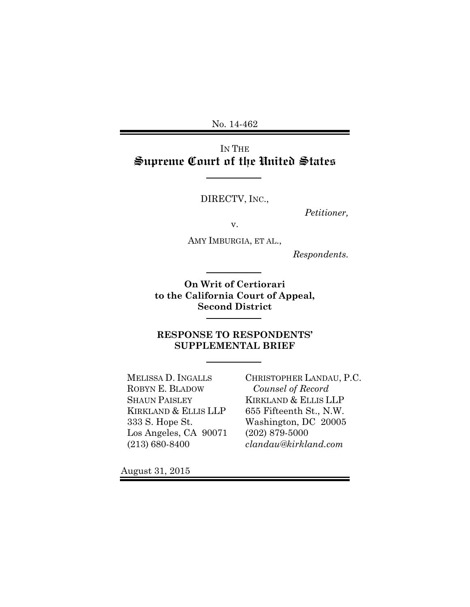No. 14-462

IN THE Supreme Court of the United States

DIRECTV, INC.,

*Petitioner,* 

v.

AMY IMBURGIA, ET AL.,

*Respondents.* 

**On Writ of Certiorari to the California Court of Appeal, Second District** 

**RESPONSE TO RESPONDENTS' SUPPLEMENTAL BRIEF** 

MELISSA D. INGALLS ROBYN E. BLADOW SHAUN PAISLEY KIRKLAND & ELLIS LLP 333 S. Hope St. Los Angeles, CA 90071 (213) 680-8400

CHRISTOPHER LANDAU, P.C.  *Counsel of Record* KIRKLAND & ELLIS LLP 655 Fifteenth St., N.W. Washington, DC 20005 (202) 879-5000 *clandau@kirkland.com* 

August 31, 2015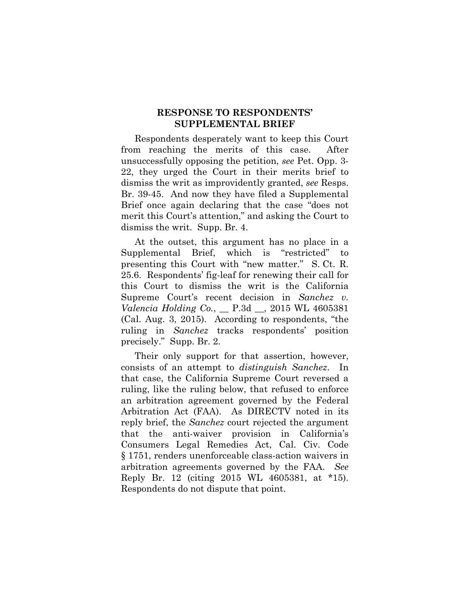## **RESPONSE TO RESPONDENTS' SUPPLEMENTAL BRIEF**

Respondents desperately want to keep this Court from reaching the merits of this case. After unsuccessfully opposing the petition, *see* Pet. Opp. 3- 22, they urged the Court in their merits brief to dismiss the writ as improvidently granted, *see* Resps. Br. 39-45. And now they have filed a Supplemental Brief once again declaring that the case "does not merit this Court's attention," and asking the Court to dismiss the writ. Supp. Br. 4.

At the outset, this argument has no place in a Supplemental Brief, which is "restricted" to presenting this Court with "new matter." S. Ct. R. 25.6. Respondents' fig-leaf for renewing their call for this Court to dismiss the writ is the California Supreme Court's recent decision in *Sanchez v. Valencia Holding Co.*, \_\_ P.3d \_\_, 2015 WL 4605381 (Cal. Aug. 3, 2015). According to respondents, "the ruling in *Sanchez* tracks respondents' position precisely." Supp. Br. 2.

Their only support for that assertion, however, consists of an attempt to *distinguish Sanchez*. In that case, the California Supreme Court reversed a ruling, like the ruling below, that refused to enforce an arbitration agreement governed by the Federal Arbitration Act (FAA). As DIRECTV noted in its reply brief, the *Sanchez* court rejected the argument that the anti-waiver provision in California's Consumers Legal Remedies Act, Cal. Civ. Code § 1751, renders unenforceable class-action waivers in arbitration agreements governed by the FAA. *See* Reply Br. 12 (citing 2015 WL 4605381, at \*15). Respondents do not dispute that point.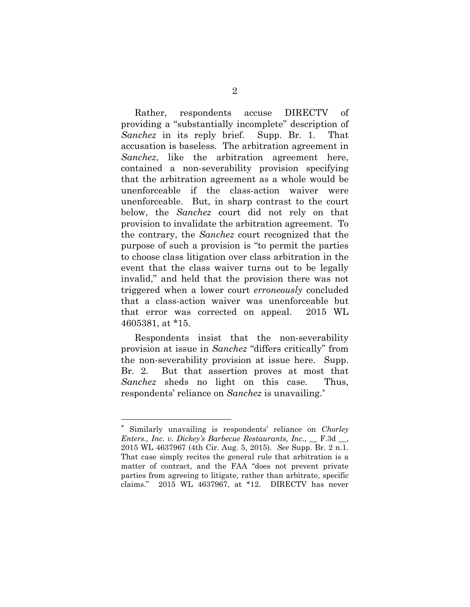Rather, respondents accuse DIRECTV of providing a "substantially incomplete" description of *Sanchez* in its reply brief. Supp. Br. 1. That accusation is baseless. The arbitration agreement in *Sanchez*, like the arbitration agreement here, contained a non-severability provision specifying that the arbitration agreement as a whole would be unenforceable if the class-action waiver were unenforceable. But, in sharp contrast to the court below, the *Sanchez* court did not rely on that provision to invalidate the arbitration agreement. To the contrary, the *Sanchez* court recognized that the purpose of such a provision is "to permit the parties to choose class litigation over class arbitration in the event that the class waiver turns out to be legally invalid," and held that the provision there was not triggered when a lower court *erroneously* concluded that a class-action waiver was unenforceable but that error was corrected on appeal. 2015 WL 4605381, at \*15.

Respondents insist that the non-severability provision at issue in *Sanchez* "differs critically" from the non-severability provision at issue here. Supp. Br. 2. But that assertion proves at most that *Sanchez* sheds no light on this case. Thus, respondents' reliance on *Sanchez* is unavailing.\*

l

Similarly unavailing is respondents' reliance on *Chorley Enters., Inc. v. Dickey's Barbecue Restaurants, Inc.*, \_\_ F.3d \_\_, 2015 WL 4637967 (4th Cir. Aug. 5, 2015). *See* Supp. Br. 2 n.1. That case simply recites the general rule that arbitration is a matter of contract, and the FAA "does not prevent private parties from agreeing to litigate, rather than arbitrate, specific claims." 2015 WL 4637967, at \*12. DIRECTV has never